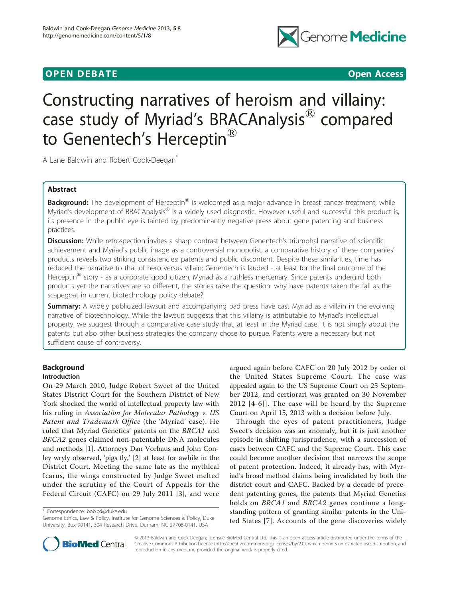## **OPEN DEBATE CONSIDERED EXECUTE OPEN DEBATE**



# Constructing narratives of heroism and villainy: case study of Myriad's BRACAnalysis® compared to Genentech's Herceptin®

A Lane Baldwin and Robert Cook-Deegan<sup>\*</sup>

## Abstract

Background: The development of Herceptin® is welcomed as a major advance in breast cancer treatment, while Myriad's development of BRACAnalysis<sup>®</sup> is a widely used diagnostic. However useful and successful this product is, its presence in the public eye is tainted by predominantly negative press about gene patenting and business practices.

Discussion: While retrospection invites a sharp contrast between Genentech's triumphal narrative of scientific achievement and Myriad's public image as a controversial monopolist, a comparative history of these companies' products reveals two striking consistencies: patents and public discontent. Despite these similarities, time has reduced the narrative to that of hero versus villain: Genentech is lauded - at least for the final outcome of the Herceptin<sup>®</sup> story - as a corporate good citizen, Myriad as a ruthless mercenary. Since patents undergird both products yet the narratives are so different, the stories raise the question: why have patents taken the fall as the scapegoat in current biotechnology policy debate?

**Summary:** A widely publicized lawsuit and accompanying bad press have cast Myriad as a villain in the evolving narrative of biotechnology. While the lawsuit suggests that this villainy is attributable to Myriad's intellectual property, we suggest through a comparative case study that, at least in the Myriad case, it is not simply about the patents but also other business strategies the company chose to pursue. Patents were a necessary but not sufficient cause of controversy.

## Background

## Introduction

On 29 March 2010, Judge Robert Sweet of the United States District Court for the Southern District of New York shocked the world of intellectual property law with his ruling in Association for Molecular Pathology v. US Patent and Trademark Office (the 'Myriad' case). He ruled that Myriad Genetics' patents on the BRCA1 and BRCA2 genes claimed non-patentable DNA molecules and methods [\[1\]](#page-12-0). Attorneys Dan Vorhaus and John Conley wryly observed, 'pigs fly,' [\[2](#page-12-0)] at least for awhile in the District Court. Meeting the same fate as the mythical Icarus, the wings constructed by Judge Sweet melted under the scrutiny of the Court of Appeals for the Federal Circuit (CAFC) on 29 July 2011 [[3](#page-12-0)], and were

\* Correspondence: [bob.cd@duke.edu](mailto:bob.cd@duke.edu)

Genome Ethics, Law & Policy, Institute for Genome Sciences & Policy, Duke University, Box 90141, 304 Research Drive, Durham, NC 27708-0141, USA

argued again before CAFC on 20 July 2012 by order of the United States Supreme Court. The case was appealed again to the US Supreme Court on 25 September 2012, and certiorari was granted on 30 November 2012 [[4-6\]](#page-12-0)]. The case will be heard by the Supreme Court on April 15, 2013 with a decision before July.

Through the eyes of patent practitioners, Judge Sweet's decision was an anomaly, but it is just another episode in shifting jurisprudence, with a succession of cases between CAFC and the Supreme Court. This case could become another decision that narrows the scope of patent protection. Indeed, it already has, with Myriad's broad method claims being invalidated by both the district court and CAFC. Backed by a decade of precedent patenting genes, the patents that Myriad Genetics holds on *BRCA1* and *BRCA2* genes continue a longstanding pattern of granting similar patents in the United States [[7](#page-12-0)]. Accounts of the gene discoveries widely



© 2013 Baldwin and Cook-Deegan; licensee BioMed Central Ltd. This is an open access article distributed under the terms of the Creative Commons Attribution License (<http://creativecommons.org/licenses/by/2.0>), which permits unrestricted use, distribution, and reproduction in any medium, provided the original work is properly cited.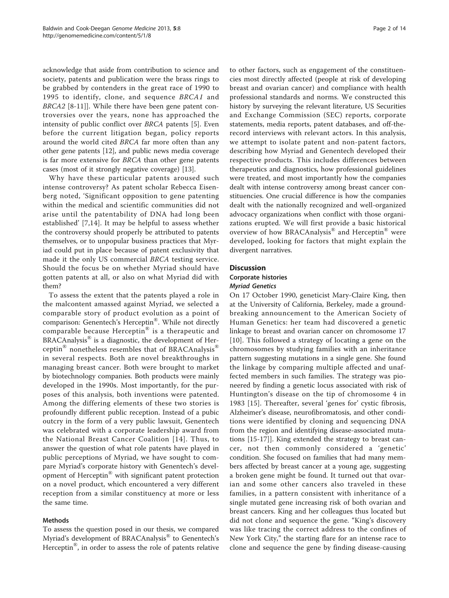acknowledge that aside from contribution to science and society, patents and publication were the brass rings to be grabbed by contenders in the great race of 1990 to 1995 to identify, clone, and sequence BRCA1 and BRCA2 [[8-11](#page-12-0)]]. While there have been gene patent controversies over the years, none has approached the intensity of public conflict over BRCA patents [[5\]](#page-12-0). Even before the current litigation began, policy reports around the world cited BRCA far more often than any other gene patents [\[12\]](#page-12-0), and public news media coverage is far more extensive for BRCA than other gene patents cases (most of it strongly negative coverage) [[13](#page-12-0)].

Why have these particular patents aroused such intense controversy? As patent scholar Rebecca Eisenberg noted, 'Significant opposition to gene patenting within the medical and scientific communities did not arise until the patentability of DNA had long been established' [[7](#page-12-0),[14\]](#page-12-0). It may be helpful to assess whether the controversy should properly be attributed to patents themselves, or to unpopular business practices that Myriad could put in place because of patent exclusivity that made it the only US commercial BRCA testing service. Should the focus be on whether Myriad should have gotten patents at all, or also on what Myriad did with them?

To assess the extent that the patents played a role in the malcontent amassed against Myriad, we selected a comparable story of product evolution as a point of comparison: Genentech's Herceptin®. While not directly comparable because Herceptin® is a therapeutic and  $BRACAnalysis^{\circledR}$  is a diagnostic, the development of Herceptin® nonetheless resembles that of BRACAnalysis® in several respects. Both are novel breakthroughs in managing breast cancer. Both were brought to market by biotechnology companies. Both products were mainly developed in the 1990s. Most importantly, for the purposes of this analysis, both inventions were patented. Among the differing elements of these two stories is profoundly different public reception. Instead of a pubic outcry in the form of a very public lawsuit, Genentech was celebrated with a corporate leadership award from the National Breast Cancer Coalition [[14\]](#page-12-0). Thus, to answer the question of what role patents have played in public perceptions of Myriad, we have sought to compare Myriad's corporate history with Genentech's development of Herceptin® with significant patent protection on a novel product, which encountered a very different reception from a similar constituency at more or less the same time.

## Methods

To assess the question posed in our thesis, we compared Myriad's development of BRACAnalysis® to Genentech's Herceptin<sup>®</sup>, in order to assess the role of patents relative

to other factors, such as engagement of the constituencies most directly affected (people at risk of developing breast and ovarian cancer) and compliance with health professional standards and norms. We constructed this history by surveying the relevant literature, US Securities and Exchange Commission (SEC) reports, corporate statements, media reports, patent databases, and off-therecord interviews with relevant actors. In this analysis, we attempt to isolate patent and non-patent factors, describing how Myriad and Genentech developed their respective products. This includes differences between therapeutics and diagnostics, how professional guidelines were treated, and most importantly how the companies dealt with intense controversy among breast cancer constituencies. One crucial difference is how the companies dealt with the nationally recognized and well-organized advocacy organizations when conflict with those organizations erupted. We will first provide a basic historical overview of how BRACAnalysis® and Herceptin® were developed, looking for factors that might explain the divergent narratives.

#### **Discussion**

#### Corporate histories

#### Myriad Genetics

On 17 October 1990, geneticist Mary-Claire King, then at the University of California, Berkeley, made a groundbreaking announcement to the American Society of Human Genetics: her team had discovered a genetic linkage to breast and ovarian cancer on chromosome 17 [[10](#page-12-0)]. This followed a strategy of locating a gene on the chromosomes by studying families with an inheritance pattern suggesting mutations in a single gene. She found the linkage by comparing multiple affected and unaffected members in such families. The strategy was pioneered by finding a genetic locus associated with risk of Huntington's disease on the tip of chromosome 4 in 1983 [[15\]](#page-12-0). Thereafter, several 'genes for' cystic fibrosis, Alzheimer's disease, neurofibromatosis, and other conditions were identified by cloning and sequencing DNA from the region and identifying disease-associated mutations [\[15](#page-12-0)-[17\]](#page-12-0)]. King extended the strategy to breast cancer, not then commonly considered a 'genetic' condition. She focused on families that had many members affected by breast cancer at a young age, suggesting a broken gene might be found. It turned out that ovarian and some other cancers also traveled in these families, in a pattern consistent with inheritance of a single mutated gene increasing risk of both ovarian and breast cancers. King and her colleagues thus located but did not clone and sequence the gene. "King's discovery was like tracing the correct address to the confines of New York City," the starting flare for an intense race to clone and sequence the gene by finding disease-causing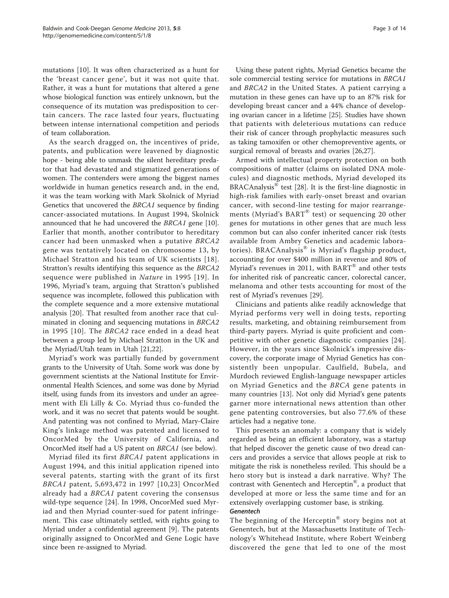mutations [\[10](#page-12-0)]. It was often characterized as a hunt for the 'breast cancer gene', but it was not quite that. Rather, it was a hunt for mutations that altered a gene whose biological function was entirely unknown, but the consequence of its mutation was predisposition to certain cancers. The race lasted four years, fluctuating between intense international competition and periods of team collaboration.

As the search dragged on, the incentives of pride, patents, and publication were leavened by diagnostic hope - being able to unmask the silent hereditary predator that had devastated and stigmatized generations of women. The contenders were among the biggest names worldwide in human genetics research and, in the end, it was the team working with Mark Skolnick of Myriad Genetics that uncovered the BRCA1 sequence by finding cancer-associated mutations. In August 1994, Skolnick announced that he had uncovered the BRCA1 gene [\[10](#page-12-0)]. Earlier that month, another contributor to hereditary cancer had been unmasked when a putative BRCA2 gene was tentatively located on chromosome 13, by Michael Stratton and his team of UK scientists [\[18\]](#page-12-0). Stratton's results identifying this sequence as the BRCA2 sequence were published in Nature in 1995 [[19\]](#page-12-0). In 1996, Myriad's team, arguing that Stratton's published sequence was incomplete, followed this publication with the complete sequence and a more extensive mutational analysis [[20\]](#page-12-0). That resulted from another race that culminated in cloning and sequencing mutations in BRCA2 in 1995 [[10](#page-12-0)]. The BRCA2 race ended in a dead heat between a group led by Michael Stratton in the UK and the Myriad/Utah team in Utah [\[21,22](#page-12-0)].

Myriad's work was partially funded by government grants to the University of Utah. Some work was done by government scientists at the National Institute for Environmental Health Sciences, and some was done by Myriad itself, using funds from its investors and under an agreement with Eli Lilly & Co. Myriad thus co-funded the work, and it was no secret that patents would be sought. And patenting was not confined to Myriad, Mary-Claire King's linkage method was patented and licensed to OncorMed by the University of California, and OncorMed itself had a US patent on BRCA1 (see below).

Myriad filed its first BRCA1 patent applications in August 1994, and this initial application ripened into several patents, starting with the grant of its first BRCA1 patent, 5,693,472 in 1997 [[10,23\]](#page-12-0) OncorMed already had a BRCA1 patent covering the consensus wild-type sequence [[24\]](#page-12-0). In 1998, OncorMed sued Myriad and then Myriad counter-sued for patent infringement. This case ultimately settled, with rights going to Myriad under a confidential agreement [\[9](#page-12-0)]. The patents originally assigned to OncorMed and Gene Logic have since been re-assigned to Myriad.

Using these patent rights, Myriad Genetics became the sole commercial testing service for mutations in BRCA1 and BRCA2 in the United States. A patient carrying a mutation in these genes can have up to an 87% risk for developing breast cancer and a 44% chance of developing ovarian cancer in a lifetime [\[25](#page-12-0)]. Studies have shown that patients with deleterious mutations can reduce their risk of cancer through prophylactic measures such as taking tamoxifen or other chemopreventive agents, or surgical removal of breasts and ovaries [[26,27](#page-12-0)].

Armed with intellectual property protection on both compositions of matter (claims on isolated DNA molecules) and diagnostic methods, Myriad developed its  $BRACAnalysis^{\circledR}$  test [[28\]](#page-13-0). It is the first-line diagnostic in high-risk families with early-onset breast and ovarian cancer, with second-line testing for major rearrangements (Myriad's  $BART^{\otimes}$  test) or sequencing 20 other genes for mutations in other genes that are much less common but can also confer inherited cancer risk (tests available from Ambry Genetics and academic laboratories). BRACAnalysis® is Myriad's flagship product, accounting for over \$400 million in revenue and 80% of Myriad's revenues in 2011, with  $BART^{\circledR}$  and other tests for inherited risk of pancreatic cancer, colorectal cancer, melanoma and other tests accounting for most of the rest of Myriad's revenues [\[29](#page-13-0)].

Clinicians and patients alike readily acknowledge that Myriad performs very well in doing tests, reporting results, marketing, and obtaining reimbursement from third-party payers. Myriad is quite proficient and competitive with other genetic diagnostic companies [[24\]](#page-12-0). However, in the years since Skolnick's impressive discovery, the corporate image of Myriad Genetics has consistently been unpopular. Caulfield, Bubela, and Murdoch reviewed English-language newspaper articles on Myriad Genetics and the BRCA gene patents in many countries [\[13](#page-12-0)]. Not only did Myriad's gene patents garner more international news attention than other gene patenting controversies, but also 77.6% of these articles had a negative tone.

This presents an anomaly: a company that is widely regarded as being an efficient laboratory, was a startup that helped discover the genetic cause of two dread cancers and provides a service that allows people at risk to mitigate the risk is nonetheless reviled. This should be a hero story but is instead a dark narrative. Why? The contrast with Genentech and Herceptin®, a product that developed at more or less the same time and for an extensively overlapping customer base, is striking. Genentech

The beginning of the Herceptin<sup>®</sup> story begins not at Genentech, but at the Massachusetts Institute of Technology's Whitehead Institute, where Robert Weinberg discovered the gene that led to one of the most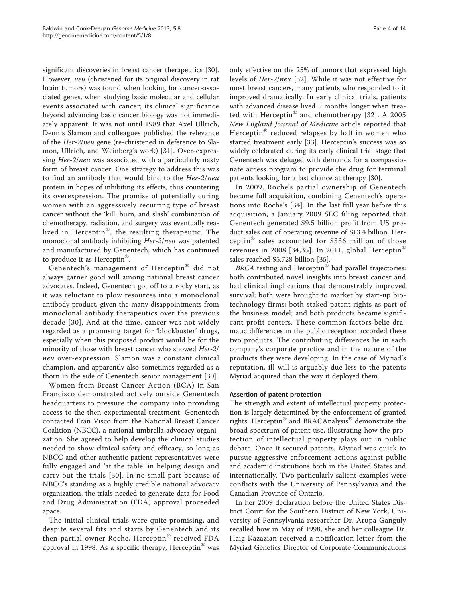significant discoveries in breast cancer therapeutics [\[30](#page-13-0)]. However, neu (christened for its original discovery in rat brain tumors) was found when looking for cancer-associated genes, when studying basic molecular and cellular events associated with cancer; its clinical significance beyond advancing basic cancer biology was not immediately apparent. It was not until 1989 that Axel Ullrich, Dennis Slamon and colleagues published the relevance of the Her-2/neu gene (re-christened in deference to Slamon, Ullrich, and Weinberg's work) [[31\]](#page-13-0). Over-expressing Her-2/neu was associated with a particularly nasty form of breast cancer. One strategy to address this was to find an antibody that would bind to the Her-2/neu protein in hopes of inhibiting its effects, thus countering its overexpression. The promise of potentially curing women with an aggressively recurring type of breast cancer without the 'kill, burn, and slash' combination of chemotherapy, radiation, and surgery was eventually realized in Herceptin®, the resulting therapeutic. The monoclonal antibody inhibiting Her-2/neu was patented and manufactured by Genentech, which has continued to produce it as Herceptin®.

Genentech's management of Herceptin® did not always garner good will among national breast cancer advocates. Indeed, Genentech got off to a rocky start, as it was reluctant to plow resources into a monoclonal antibody product, given the many disappointments from monoclonal antibody therapeutics over the previous decade [[30\]](#page-13-0). And at the time, cancer was not widely regarded as a promising target for 'blockbuster' drugs, especially when this proposed product would be for the minority of those with breast cancer who showed Her-2/ neu over-expression. Slamon was a constant clinical champion, and apparently also sometimes regarded as a thorn in the side of Genentech senior management [\[30\]](#page-13-0).

Women from Breast Cancer Action (BCA) in San Francisco demonstrated actively outside Genentech headquarters to pressure the company into providing access to the then-experimental treatment. Genentech contacted Fran Visco from the National Breast Cancer Coalition (NBCC), a national umbrella advocacy organization. She agreed to help develop the clinical studies needed to show clinical safety and efficacy, so long as NBCC and other authentic patient representatives were fully engaged and 'at the table' in helping design and carry out the trials [[30](#page-13-0)]. In no small part because of NBCC's standing as a highly credible national advocacy organization, the trials needed to generate data for Food and Drug Administration (FDA) approval proceeded apace.

The initial clinical trials were quite promising, and despite several fits and starts by Genentech and its then-partial owner Roche, Herceptin® received FDA approval in 1998. As a specific therapy, Herceptin<sup>®</sup> was only effective on the 25% of tumors that expressed high levels of Her-2/neu [\[32](#page-13-0)]. While it was not effective for most breast cancers, many patients who responded to it improved dramatically. In early clinical trials, patients with advanced disease lived 5 months longer when treated with Herceptin® and chemotherapy [[32](#page-13-0)]. A 2005 New England Journal of Medicine article reported that Herceptin® reduced relapses by half in women who started treatment early [\[33](#page-13-0)]. Herceptin's success was so widely celebrated during its early clinical trial stage that Genentech was deluged with demands for a compassionate access program to provide the drug for terminal patients looking for a last chance at therapy [[30\]](#page-13-0).

In 2009, Roche's partial ownership of Genentech became full acquisition, combining Genentech's operations into Roche's [\[34](#page-13-0)]. In the last full year before this acquisition, a January 2009 SEC filing reported that Genentech generated \$9.5 billion profit from US product sales out of operating revenue of \$13.4 billion. Herceptin® sales accounted for \$336 million of those revenues in 2008 [[34](#page-13-0),[35](#page-13-0)]. In 2011, global Herceptin<sup>®</sup> sales reached \$5.728 billion [[35](#page-13-0)].

 $BRCA$  testing and Herceptin<sup>®</sup> had parallel trajectories: both contributed novel insights into breast cancer and had clinical implications that demonstrably improved survival; both were brought to market by start-up biotechnology firms; both staked patent rights as part of the business model; and both products became significant profit centers. These common factors belie dramatic differences in the public reception accorded these two products. The contributing differences lie in each company's corporate practice and in the nature of the products they were developing. In the case of Myriad's reputation, ill will is arguably due less to the patents Myriad acquired than the way it deployed them.

#### Assertion of patent protection

The strength and extent of intellectual property protection is largely determined by the enforcement of granted rights. Herceptin® and BRACAnalysis® demonstrate the broad spectrum of patent use, illustrating how the protection of intellectual property plays out in public debate. Once it secured patents, Myriad was quick to pursue aggressive enforcement actions against public and academic institutions both in the United States and internationally. Two particularly salient examples were conflicts with the University of Pennsylvania and the Canadian Province of Ontario.

In her 2009 declaration before the United States District Court for the Southern District of New York, University of Pennsylvania researcher Dr. Arupa Ganguly recalled how in May of 1998, she and her colleague Dr. Haig Kazazian received a notification letter from the Myriad Genetics Director of Corporate Communications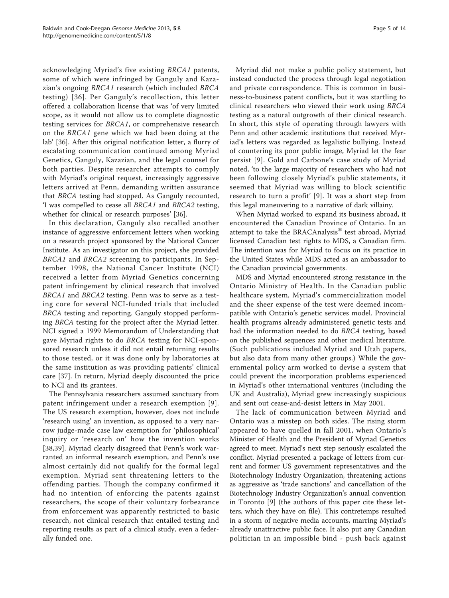acknowledging Myriad's five existing BRCA1 patents, some of which were infringed by Ganguly and Kazazian's ongoing BRCA1 research (which included BRCA testing) [[36](#page-13-0)]. Per Ganguly's recollection, this letter offered a collaboration license that was 'of very limited scope, as it would not allow us to complete diagnostic testing services for BRCA1, or comprehensive research on the BRCA1 gene which we had been doing at the lab' [\[36\]](#page-13-0). After this original notification letter, a flurry of escalating communication continued among Myriad Genetics, Ganguly, Kazazian, and the legal counsel for both parties. Despite researcher attempts to comply with Myriad's original request, increasingly aggressive letters arrived at Penn, demanding written assurance that BRCA testing had stopped. As Ganguly recounted, 'I was compelled to cease all BRCA1 and BRCA2 testing, whether for clinical or research purposes' [\[36](#page-13-0)].

In this declaration, Ganguly also recalled another instance of aggressive enforcement letters when working on a research project sponsored by the National Cancer Institute. As an investigator on this project, she provided BRCA1 and BRCA2 screening to participants. In September 1998, the National Cancer Institute (NCI) received a letter from Myriad Genetics concerning patent infringement by clinical research that involved BRCA1 and BRCA2 testing. Penn was to serve as a testing core for several NCI-funded trials that included BRCA testing and reporting. Ganguly stopped performing BRCA testing for the project after the Myriad letter. NCI signed a 1999 Memorandum of Understanding that gave Myriad rights to do BRCA testing for NCI-sponsored research unless it did not entail returning results to those tested, or it was done only by laboratories at the same institution as was providing patients' clinical care [\[37](#page-13-0)]. In return, Myriad deeply discounted the price to NCI and its grantees.

The Pennsylvania researchers assumed sanctuary from patent infringement under a research exemption [[9\]](#page-12-0). The US research exemption, however, does not include 'research using' an invention, as opposed to a very narrow judge-made case law exemption for 'philosophical' inquiry or 'research on' how the invention works [[38,39](#page-13-0)]. Myriad clearly disagreed that Penn's work warranted an informal research exemption, and Penn's use almost certainly did not qualify for the formal legal exemption. Myriad sent threatening letters to the offending parties. Though the company confirmed it had no intention of enforcing the patents against researchers, the scope of their voluntary forbearance from enforcement was apparently restricted to basic research, not clinical research that entailed testing and reporting results as part of a clinical study, even a federally funded one.

Myriad did not make a public policy statement, but instead conducted the process through legal negotiation and private correspondence. This is common in business-to-business patent conflicts, but it was startling to clinical researchers who viewed their work using BRCA testing as a natural outgrowth of their clinical research. In short, this style of operating through lawyers with Penn and other academic institutions that received Myriad's letters was regarded as legalistic bullying. Instead of countering its poor public image, Myriad let the fear persist [[9\]](#page-12-0). Gold and Carbone's case study of Myriad noted, 'to the large majority of researchers who had not been following closely Myriad's public statements, it seemed that Myriad was willing to block scientific research to turn a profit' [\[9](#page-12-0)]. It was a short step from this legal maneuvering to a narrative of dark villainy.

When Myriad worked to expand its business abroad, it encountered the Canadian Province of Ontario. In an attempt to take the BRACAnalysis® test abroad, Myriad licensed Canadian test rights to MDS, a Canadian firm. The intention was for Myriad to focus on its practice in the United States while MDS acted as an ambassador to the Canadian provincial governments.

MDS and Myriad encountered strong resistance in the Ontario Ministry of Health. In the Canadian public healthcare system, Myriad's commercialization model and the sheer expense of the test were deemed incompatible with Ontario's genetic services model. Provincial health programs already administered genetic tests and had the information needed to do BRCA testing, based on the published sequences and other medical literature. (Such publications included Myriad and Utah papers, but also data from many other groups.) While the governmental policy arm worked to devise a system that could prevent the incorporation problems experienced in Myriad's other international ventures (including the UK and Australia), Myriad grew increasingly suspicious and sent out cease-and-desist letters in May 2001.

The lack of communication between Myriad and Ontario was a misstep on both sides. The rising storm appeared to have quelled in fall 2001, when Ontario's Minister of Health and the President of Myriad Genetics agreed to meet. Myriad's next step seriously escalated the conflict. Myriad presented a package of letters from current and former US government representatives and the Biotechnology Industry Organization, threatening actions as aggressive as 'trade sanctions' and cancellation of the Biotechnology Industry Organization's annual convention in Toronto [[9\]](#page-12-0) (the authors of this paper cite these letters, which they have on file). This contretemps resulted in a storm of negative media accounts, marring Myriad's already unattractive public face. It also put any Canadian politician in an impossible bind - push back against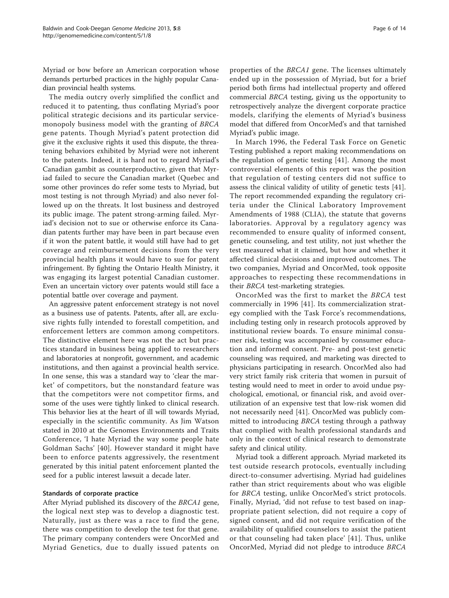Myriad or bow before an American corporation whose demands perturbed practices in the highly popular Canadian provincial health systems.

The media outcry overly simplified the conflict and reduced it to patenting, thus conflating Myriad's poor political strategic decisions and its particular servicemonopoly business model with the granting of BRCA gene patents. Though Myriad's patent protection did give it the exclusive rights it used this dispute, the threatening behaviors exhibited by Myriad were not inherent to the patents. Indeed, it is hard not to regard Myriad's Canadian gambit as counterproductive, given that Myriad failed to secure the Canadian market (Quebec and some other provinces do refer some tests to Myriad, but most testing is not through Myriad) and also never followed up on the threats. It lost business and destroyed its public image. The patent strong-arming failed. Myriad's decision not to sue or otherwise enforce its Canadian patents further may have been in part because even if it won the patent battle, it would still have had to get coverage and reimbursement decisions from the very provincial health plans it would have to sue for patent infringement. By fighting the Ontario Health Ministry, it was engaging its largest potential Canadian customer. Even an uncertain victory over patents would still face a potential battle over coverage and payment.

An aggressive patent enforcement strategy is not novel as a business use of patents. Patents, after all, are exclusive rights fully intended to forestall competition, and enforcement letters are common among competitors. The distinctive element here was not the act but practices standard in business being applied to researchers and laboratories at nonprofit, government, and academic institutions, and then against a provincial health service. In one sense, this was a standard way to 'clear the market' of competitors, but the nonstandard feature was that the competitors were not competitor firms, and some of the uses were tightly linked to clinical research. This behavior lies at the heart of ill will towards Myriad, especially in the scientific community. As Jim Watson stated in 2010 at the Genomes Environments and Traits Conference, 'I hate Myriad the way some people hate Goldman Sachs' [\[40\]](#page-13-0). However standard it might have been to enforce patents aggressively, the resentment generated by this initial patent enforcement planted the seed for a public interest lawsuit a decade later.

#### Standards of corporate practice

After Myriad published its discovery of the BRCA1 gene, the logical next step was to develop a diagnostic test. Naturally, just as there was a race to find the gene, there was competition to develop the test for that gene. The primary company contenders were OncorMed and Myriad Genetics, due to dually issued patents on

properties of the BRCA1 gene. The licenses ultimately ended up in the possession of Myriad, but for a brief period both firms had intellectual property and offered commercial BRCA testing, giving us the opportunity to retrospectively analyze the divergent corporate practice models, clarifying the elements of Myriad's business model that differed from OncorMed's and that tarnished Myriad's public image.

In March 1996, the Federal Task Force on Genetic Testing published a report making recommendations on the regulation of genetic testing [[41\]](#page-13-0). Among the most controversial elements of this report was the position that regulation of testing centers did not suffice to assess the clinical validity of utility of genetic tests [\[41](#page-13-0)]. The report recommended expanding the regulatory criteria under the Clinical Laboratory Improvement Amendments of 1988 (CLIA), the statute that governs laboratories. Approval by a regulatory agency was recommended to ensure quality of informed consent, genetic counseling, and test utility, not just whether the test measured what it claimed, but how and whether it affected clinical decisions and improved outcomes. The two companies, Myriad and OncorMed, took opposite approaches to respecting these recommendations in their BRCA test-marketing strategies.

OncorMed was the first to market the BRCA test commercially in 1996 [[41\]](#page-13-0). Its commercialization strategy complied with the Task Force's recommendations, including testing only in research protocols approved by institutional review boards. To ensure minimal consumer risk, testing was accompanied by consumer education and informed consent. Pre- and post-test genetic counseling was required, and marketing was directed to physicians participating in research. OncorMed also had very strict family risk criteria that women in pursuit of testing would need to meet in order to avoid undue psychological, emotional, or financial risk, and avoid overutilization of an expensive test that low-risk women did not necessarily need [[41\]](#page-13-0). OncorMed was publicly committed to introducing BRCA testing through a pathway that complied with health professional standards and only in the context of clinical research to demonstrate safety and clinical utility.

Myriad took a different approach. Myriad marketed its test outside research protocols, eventually including direct-to-consumer advertising. Myriad had guidelines rather than strict requirements about who was eligible for BRCA testing, unlike OncorMed's strict protocols. Finally, Myriad, 'did not refuse to test based on inappropriate patient selection, did not require a copy of signed consent, and did not require verification of the availability of qualified counselors to assist the patient or that counseling had taken place' [[41](#page-13-0)]. Thus, unlike OncorMed, Myriad did not pledge to introduce BRCA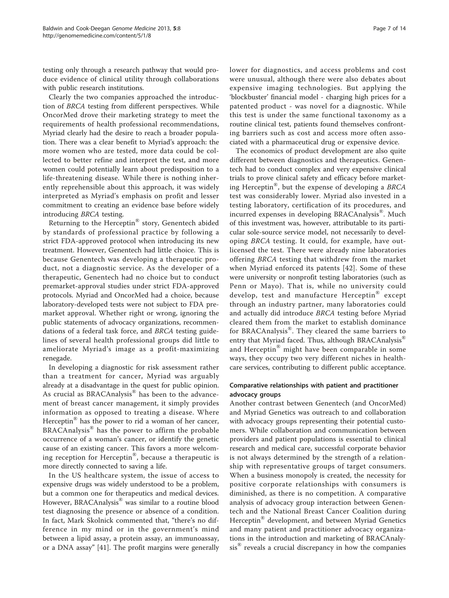testing only through a research pathway that would produce evidence of clinical utility through collaborations with public research institutions.

Clearly the two companies approached the introduction of BRCA testing from different perspectives. While OncorMed drove their marketing strategy to meet the requirements of health professional recommendations, Myriad clearly had the desire to reach a broader population. There was a clear benefit to Myriad's approach: the more women who are tested, more data could be collected to better refine and interpret the test, and more women could potentially learn about predisposition to a life-threatening disease. While there is nothing inherently reprehensible about this approach, it was widely interpreted as Myriad's emphasis on profit and lesser commitment to creating an evidence base before widely introducing BRCA testing.

Returning to the Herceptin® story, Genentech abided by standards of professional practice by following a strict FDA-approved protocol when introducing its new treatment. However, Genentech had little choice. This is because Genentech was developing a therapeutic product, not a diagnostic service. As the developer of a therapeutic, Genentech had no choice but to conduct premarket-approval studies under strict FDA-approved protocols. Myriad and OncorMed had a choice, because laboratory-developed tests were not subject to FDA premarket approval. Whether right or wrong, ignoring the public statements of advocacy organizations, recommendations of a federal task force, and BRCA testing guidelines of several health professional groups did little to ameliorate Myriad's image as a profit-maximizing renegade.

In developing a diagnostic for risk assessment rather than a treatment for cancer, Myriad was arguably already at a disadvantage in the quest for public opinion. As crucial as BRACAnalysis® has been to the advancement of breast cancer management, it simply provides information as opposed to treating a disease. Where Herceptin<sup>®</sup> has the power to rid a woman of her cancer, BRACAnalysis® has the power to affirm the probable occurrence of a woman's cancer, or identify the genetic cause of an existing cancer. This favors a more welcoming reception for Herceptin®, because a therapeutic is more directly connected to saving a life.

In the US healthcare system, the issue of access to expensive drugs was widely understood to be a problem, but a common one for therapeutics and medical devices. However, BRACAnalysis® was similar to a routine blood test diagnosing the presence or absence of a condition. In fact, Mark Skolnick commented that, "there's no difference in my mind or in the government's mind between a lipid assay, a protein assay, an immunoassay, or a DNA assay" [[41\]](#page-13-0). The profit margins were generally lower for diagnostics, and access problems and cost were unusual, although there were also debates about expensive imaging technologies. But applying the 'blockbuster' financial model - charging high prices for a patented product - was novel for a diagnostic. While this test is under the same functional taxonomy as a routine clinical test, patients found themselves confronting barriers such as cost and access more often associated with a pharmaceutical drug or expensive device.

The economics of product development are also quite different between diagnostics and therapeutics. Genentech had to conduct complex and very expensive clinical trials to prove clinical safety and efficacy before marketing Herceptin<sup>®</sup>, but the expense of developing a  $BRCA$ test was considerably lower. Myriad also invested in a testing laboratory, certification of its procedures, and incurred expenses in developing BRACAnalysis®. Much of this investment was, however, attributable to its particular sole-source service model, not necessarily to developing BRCA testing. It could, for example, have outlicensed the test. There were already nine laboratories offering BRCA testing that withdrew from the market when Myriad enforced its patents [[42](#page-13-0)]. Some of these were university or nonprofit testing laboratories (such as Penn or Mayo). That is, while no university could develop, test and manufacture Herceptin® except through an industry partner, many laboratories could and actually did introduce BRCA testing before Myriad cleared them from the market to establish dominance for BRACAnalysis®. They cleared the same barriers to entry that Myriad faced. Thus, although BRACAnalysis<sup>®</sup> and Herceptin® might have been comparable in some ways, they occupy two very different niches in healthcare services, contributing to different public acceptance.

## Comparative relationships with patient and practitioner advocacy groups

Another contrast between Genentech (and OncorMed) and Myriad Genetics was outreach to and collaboration with advocacy groups representing their potential customers. While collaboration and communication between providers and patient populations is essential to clinical research and medical care, successful corporate behavior is not always determined by the strength of a relationship with representative groups of target consumers. When a business monopoly is created, the necessity for positive corporate relationships with consumers is diminished, as there is no competition. A comparative analysis of advocacy group interaction between Genentech and the National Breast Cancer Coalition during Herceptin<sup>®</sup> development, and between Myriad Genetics and many patient and practitioner advocacy organizations in the introduction and marketing of BRACAnalysis® reveals a crucial discrepancy in how the companies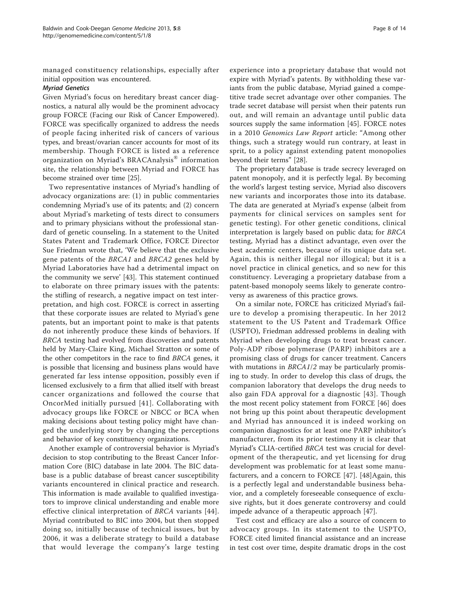managed constituency relationships, especially after initial opposition was encountered.

## Myriad Genetics

Given Myriad's focus on hereditary breast cancer diagnostics, a natural ally would be the prominent advocacy group FORCE (Facing our Risk of Cancer Empowered). FORCE was specifically organized to address the needs of people facing inherited risk of cancers of various types, and breast/ovarian cancer accounts for most of its membership. Though FORCE is listed as a reference organization on Myriad's BRACAnalysis® information site, the relationship between Myriad and FORCE has become strained over time [[25](#page-12-0)].

Two representative instances of Myriad's handling of advocacy organizations are: (1) in public commentaries condemning Myriad's use of its patents; and (2) concern about Myriad's marketing of tests direct to consumers and to primary physicians without the professional standard of genetic counseling. In a statement to the United States Patent and Trademark Office, FORCE Director Sue Friedman wrote that, 'We believe that the exclusive gene patents of the BRCA1 and BRCA2 genes held by Myriad Laboratories have had a detrimental impact on the community we serve' [\[43](#page-13-0)]. This statement continued to elaborate on three primary issues with the patents: the stifling of research, a negative impact on test interpretation, and high cost. FORCE is correct in asserting that these corporate issues are related to Myriad's gene patents, but an important point to make is that patents do not inherently produce these kinds of behaviors. If BRCA testing had evolved from discoveries and patents held by Mary-Claire King, Michael Stratton or some of the other competitors in the race to find BRCA genes, it is possible that licensing and business plans would have generated far less intense opposition, possibly even if licensed exclusively to a firm that allied itself with breast cancer organizations and followed the course that OncorMed initially pursued [[41](#page-13-0)]. Collaborating with advocacy groups like FORCE or NBCC or BCA when making decisions about testing policy might have changed the underlying story by changing the perceptions and behavior of key constituency organizations.

Another example of controversial behavior is Myriad's decision to stop contributing to the Breast Cancer Information Core (BIC) database in late 2004. The BIC database is a public database of breast cancer susceptibility variants encountered in clinical practice and research. This information is made available to qualified investigators to improve clinical understanding and enable more effective clinical interpretation of BRCA variants [[44](#page-13-0)]. Myriad contributed to BIC into 2004, but then stopped doing so, initially because of technical issues, but by 2006, it was a deliberate strategy to build a database that would leverage the company's large testing

experience into a proprietary database that would not expire with Myriad's patents. By withholding these variants from the public database, Myriad gained a competitive trade secret advantage over other companies. The trade secret database will persist when their patents run out, and will remain an advantage until public data sources supply the same information [[45\]](#page-13-0). FORCE notes in a 2010 Genomics Law Report article: "Among other things, such a strategy would run contrary, at least in sprit, to a policy against extending patent monopolies beyond their terms" [[28\]](#page-13-0).

The proprietary database is trade secrecy leveraged on patent monopoly, and it is perfectly legal. By becoming the world's largest testing service, Myriad also discovers new variants and incorporates those into its database. The data are generated at Myriad's expense (albeit from payments for clinical services on samples sent for genetic testing). For other genetic conditions, clinical interpretation is largely based on public data; for BRCA testing, Myriad has a distinct advantage, even over the best academic centers, because of its unique data set. Again, this is neither illegal nor illogical; but it is a novel practice in clinical genetics, and so new for this constituency. Leveraging a proprietary database from a patent-based monopoly seems likely to generate controversy as awareness of this practice grows.

On a similar note, FORCE has criticized Myriad's failure to develop a promising therapeutic. In her 2012 statement to the US Patent and Trademark Office (USPTO), Friedman addressed problems in dealing with Myriad when developing drugs to treat breast cancer. Poly-ADP ribose polymerase (PARP) inhibitors are a promising class of drugs for cancer treatment. Cancers with mutations in BRCA1/2 may be particularly promising to study. In order to develop this class of drugs, the companion laboratory that develops the drug needs to also gain FDA approval for a diagnostic [\[43\]](#page-13-0). Though the most recent policy statement from FORCE [[46\]](#page-13-0) does not bring up this point about therapeutic development and Myriad has announced it is indeed working on companion diagnostics for at least one PARP inhibitor's manufacturer, from its prior testimony it is clear that Myriad's CLIA-certified BRCA test was crucial for development of the therapeutic, and yet licensing for drug development was problematic for at least some manufacturers, and a concern to FORCE [[47\]](#page-13-0). [[48\]](#page-13-0)Again, this is a perfectly legal and understandable business behavior, and a completely foreseeable consequence of exclusive rights, but it does generate controversy and could impede advance of a therapeutic approach [\[47](#page-13-0)].

Test cost and efficacy are also a source of concern to advocacy groups. In its statement to the USPTO, FORCE cited limited financial assistance and an increase in test cost over time, despite dramatic drops in the cost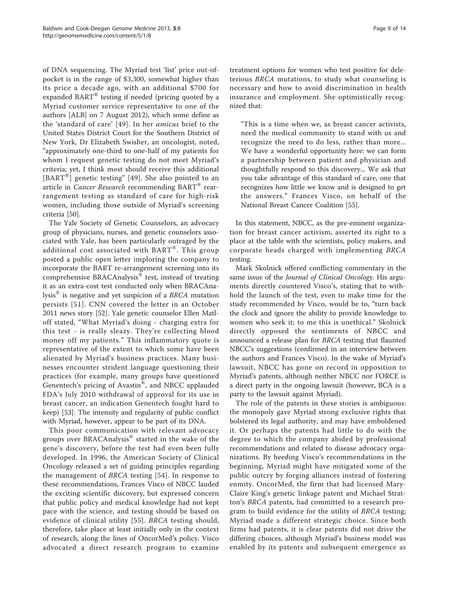of DNA sequencing. The Myriad test 'list' price out-ofpocket is in the range of \$3,300, somewhat higher than its price a decade ago, with an additional \$700 for expanded BART® testing if needed (pricing quoted by a Myriad customer service representative to one of the authors [ALB] on 7 August 2012), which some define as the 'standard of care' [[49\]](#page-13-0). In her amicus brief to the United States District Court for the Southern District of New York, Dr Elizabeth Swisher, an oncologist, noted, "approximately one-third to one-half of my patients for whom I request genetic testing do not meet Myriad's criteria; yet, I think most should receive this additional [BART<sup>®</sup>] genetic testing" [[49](#page-13-0)]. She also pointed to an article in *Cancer Research* recommending BART<sup>®</sup> rearrangement testing as standard of care for high-risk women, including those outside of Myriad's screening criteria [[50\]](#page-13-0).

The Yale Society of Genetic Counselors, an advocacy group of physicians, nurses, and genetic counselors associated with Yale, has been particularly outraged by the additional cost associated with BART®. This group posted a public open letter imploring the company to incorporate the BART re-arrangement screening into its comprehensive BRACAnalysis® test, instead of treating it as an extra-cost test conducted only when BRACAnalysis<sup>®</sup> is negative and yet suspicion of a *BRCA* mutation persists [[51](#page-13-0)]. CNN covered the letter in an October 2011 news story [[52\]](#page-13-0). Yale genetic counselor Ellen Matloff stated, "What Myriad's doing - charging extra for this test - is really sleazy. They're collecting blood money off my patients." This inflammatory quote is representative of the extent to which some have been alienated by Myriad's business practices. Many businesses encounter strident language questioning their practices (for example, many groups have questioned Genentech's pricing of Avastin®, and NBCC applauded FDA's July 2010 withdrawal of approval for its use in breast cancer, an indication Genentech fought hard to keep) [\[53\]](#page-13-0). The intensity and regularity of public conflict with Myriad, however, appear to be part of its DNA.

This poor communication with relevant advocacy groups over BRACAnalysis® started in the wake of the gene's discovery, before the test had even been fully developed. In 1996, the American Society of Clinical Oncology released a set of guiding principles regarding the management of BRCA testing [[54](#page-13-0)]. In response to these recommendations, Frances Visco of NBCC lauded the exciting scientific discovery, but expressed concern that public policy and medical knowledge had not kept pace with the science, and testing should be based on evidence of clinical utility [\[55\]](#page-13-0). BRCA testing should, therefore, take place at least initially only in the context of research, along the lines of OncorMed's policy. Visco advocated a direct research program to examine treatment options for women who test positive for deleterious BRCA mutations, to study what counseling is necessary and how to avoid discrimination in health insurance and employment. She optimistically recognized that:

"This is a time when we, as breast cancer activists, need the medical community to stand with us and recognize the need to do less, rather than more... We have a wonderful opportunity here: we can form a partnership between patient and physician and thoughtfully respond to this discovery... We ask that you take advantage of this standard of care, one that recognizes how little we know and is designed to get the answers." Frances Visco, on behalf of the National Breast Cancer Coalition [[55\]](#page-13-0).

In this statement, NBCC, as the pre-eminent organization for breast cancer activism, asserted its right to a place at the table with the scientists, policy makers, and corporate heads charged with implementing BRCA testing.

Mark Skolnick offered conflicting commentary in the same issue of the *Journal of Clinical Oncology*. His arguments directly countered Visco's, stating that to withhold the launch of the test, even to make time for the study recommended by Visco, would be to, "turn back the clock and ignore the ability to provide knowledge to women who seek it; to me this is unethical." Skolnick directly opposed the sentiments of NBCC and announced a release plan for BRCA testing that flaunted NBCC's suggestions (confirmed in an interview between the authors and Frances Visco). In the wake of Myriad's lawsuit, NBCC has gone on record in opposition to Myriad's patents, although neither NBCC nor FORCE is a direct party in the ongoing lawsuit (however, BCA is a party to the lawsuit against Myriad).

The role of the patents in these stories is ambiguous: the monopoly gave Myriad strong exclusive rights that bolstered its legal authority, and may have emboldened it. Or perhaps the patents had little to do with the degree to which the company abided by professional recommendations and related to disease advocacy organizations. By heeding Visco's recommendations in the beginning, Myriad might have mitigated some of the public outcry by forging alliances instead of fostering enmity. OncorMed, the firm that had licensed Mary-Claire King's genetic linkage patent and Michael Stratton's BRCA patents, had committed to a research program to build evidence for the utility of BRCA testing; Myriad made a different strategic choice. Since both firms had patents, it is clear patents did not drive the differing choices, although Myriad's business model was enabled by its patents and subsequent emergence as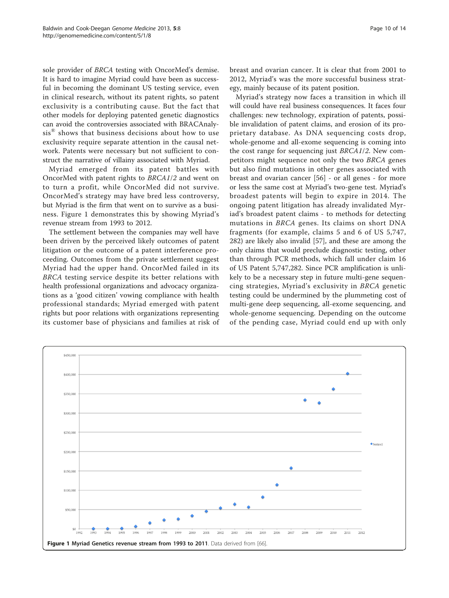sole provider of BRCA testing with OncorMed's demise. It is hard to imagine Myriad could have been as successful in becoming the dominant US testing service, even in clinical research, without its patent rights, so patent exclusivity is a contributing cause. But the fact that other models for deploying patented genetic diagnostics can avoid the controversies associated with BRACAnalysis® shows that business decisions about how to use exclusivity require separate attention in the causal network. Patents were necessary but not sufficient to construct the narrative of villainy associated with Myriad.

Myriad emerged from its patent battles with OncorMed with patent rights to BRCA1/2 and went on to turn a profit, while OncorMed did not survive. OncorMed's strategy may have bred less controversy, but Myriad is the firm that went on to survive as a business. Figure 1 demonstrates this by showing Myriad's revenue stream from 1993 to 2012.

The settlement between the companies may well have been driven by the perceived likely outcomes of patent litigation or the outcome of a patent interference proceeding. Outcomes from the private settlement suggest Myriad had the upper hand. OncorMed failed in its BRCA testing service despite its better relations with health professional organizations and advocacy organizations as a 'good citizen' vowing compliance with health professional standards; Myriad emerged with patent rights but poor relations with organizations representing its customer base of physicians and families at risk of breast and ovarian cancer. It is clear that from 2001 to 2012, Myriad's was the more successful business strategy, mainly because of its patent position.

Myriad's strategy now faces a transition in which ill will could have real business consequences. It faces four challenges: new technology, expiration of patents, possible invalidation of patent claims, and erosion of its proprietary database. As DNA sequencing costs drop, whole-genome and all-exome sequencing is coming into the cost range for sequencing just BRCA1/2. New competitors might sequence not only the two BRCA genes but also find mutations in other genes associated with breast and ovarian cancer [\[56](#page-13-0)] - or all genes - for more or less the same cost at Myriad's two-gene test. Myriad's broadest patents will begin to expire in 2014. The ongoing patent litigation has already invalidated Myriad's broadest patent claims - to methods for detecting mutations in BRCA genes. Its claims on short DNA fragments (for example, claims 5 and 6 of US 5,747, 282) are likely also invalid [\[57](#page-13-0)], and these are among the only claims that would preclude diagnostic testing, other than through PCR methods, which fall under claim 16 of US Patent 5,747,282. Since PCR amplification is unlikely to be a necessary step in future multi-gene sequencing strategies, Myriad's exclusivity in BRCA genetic testing could be undermined by the plummeting cost of multi-gene deep sequencing, all-exome sequencing, and whole-genome sequencing. Depending on the outcome of the pending case, Myriad could end up with only

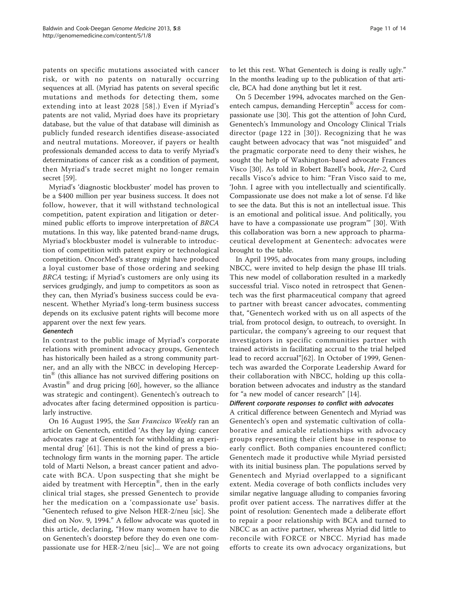patents on specific mutations associated with cancer risk, or with no patents on naturally occurring sequences at all. (Myriad has patents on several specific mutations and methods for detecting them, some extending into at least 2028 [[58\]](#page-13-0).) Even if Myriad's patents are not valid, Myriad does have its proprietary database, but the value of that database will diminish as publicly funded research identifies disease-associated and neutral mutations. Moreover, if payers or health professionals demanded access to data to verify Myriad's determinations of cancer risk as a condition of payment, then Myriad's trade secret might no longer remain secret [[59\]](#page-13-0).

Myriad's 'diagnostic blockbuster' model has proven to be a \$400 million per year business success. It does not follow, however, that it will withstand technological competition, patent expiration and litigation or determined public efforts to improve interpretation of BRCA mutations. In this way, like patented brand-name drugs, Myriad's blockbuster model is vulnerable to introduction of competition with patent expiry or technological competition. OncorMed's strategy might have produced a loyal customer base of those ordering and seeking BRCA testing; if Myriad's customers are only using its services grudgingly, and jump to competitors as soon as they can, then Myriad's business success could be evanescent. Whether Myriad's long-term business success depends on its exclusive patent rights will become more apparent over the next few years.

## Genentech

In contrast to the public image of Myriad's corporate relations with prominent advocacy groups, Genentech has historically been hailed as a strong community partner, and an ally with the NBCC in developing Herceptin® (this alliance has not survived differing positions on Avastin® and drug pricing [[60](#page-13-0)], however, so the alliance was strategic and contingent). Genentech's outreach to advocates after facing determined opposition is particularly instructive.

On 16 August 1995, the San Francisco Weekly ran an article on Genentech, entitled 'As they lay dying: cancer advocates rage at Genentech for withholding an experimental drug' [\[61\]](#page-13-0). This is not the kind of press a biotechnology firm wants in the morning paper. The article told of Marti Nelson, a breast cancer patient and advocate with BCA. Upon suspecting that she might be aided by treatment with Herceptin<sup>®</sup>, then in the early clinical trial stages, she pressed Genentech to provide her the medication on a 'compassionate use' basis. "Genentech refused to give Nelson HER-2/neu [sic]. She died on Nov. 9, 1994." A fellow advocate was quoted in this article, declaring, "How many women have to die on Genentech's doorstep before they do even one compassionate use for HER-2/neu [sic]... We are not going

to let this rest. What Genentech is doing is really ugly." In the months leading up to the publication of that article, BCA had done anything but let it rest.

On 5 December 1994, advocates marched on the Genentech campus, demanding Herceptin® access for compassionate use [\[30\]](#page-13-0). This got the attention of John Curd, Genentech's Immunology and Oncology Clinical Trials director (page 122 in [[30\]](#page-13-0)). Recognizing that he was caught between advocacy that was "not misguided" and the pragmatic corporate need to deny their wishes, he sought the help of Washington-based advocate Frances Visco [\[30\]](#page-13-0). As told in Robert Bazell's book, Her-2, Curd recalls Visco's advice to him: "Fran Visco said to me, 'John. I agree with you intellectually and scientifically. Compassionate use does not make a lot of sense. I'd like to see the data. But this is not an intellectual issue. This is an emotional and political issue. And politically, you have to have a compassionate use program'" [[30](#page-13-0)]. With this collaboration was born a new approach to pharmaceutical development at Genentech: advocates were brought to the table.

In April 1995, advocates from many groups, including NBCC, were invited to help design the phase III trials. This new model of collaboration resulted in a markedly successful trial. Visco noted in retrospect that Genentech was the first pharmaceutical company that agreed to partner with breast cancer advocates, commenting that, "Genentech worked with us on all aspects of the trial, from protocol design, to outreach, to oversight. In particular, the company's agreeing to our request that investigators in specific communities partner with trained activists in facilitating accrual to the trial helped lead to record accrual"[[62\]](#page-13-0). In October of 1999, Genentech was awarded the Corporate Leadership Award for their collaboration with NBCC, holding up this collaboration between advocates and industry as the standard for "a new model of cancer research" [[14\]](#page-12-0).

## Different corporate responses to conflict with advocates

A critical difference between Genentech and Myriad was Genentech's open and systematic cultivation of collaborative and amicable relationships with advocacy groups representing their client base in response to early conflict. Both companies encountered conflict; Genentech made it productive while Myriad persisted with its initial business plan. The populations served by Genentech and Myriad overlapped to a significant extent. Media coverage of both conflicts includes very similar negative language alluding to companies favoring profit over patient access. The narratives differ at the point of resolution: Genentech made a deliberate effort to repair a poor relationship with BCA and turned to NBCC as an active partner, whereas Myriad did little to reconcile with FORCE or NBCC. Myriad has made efforts to create its own advocacy organizations, but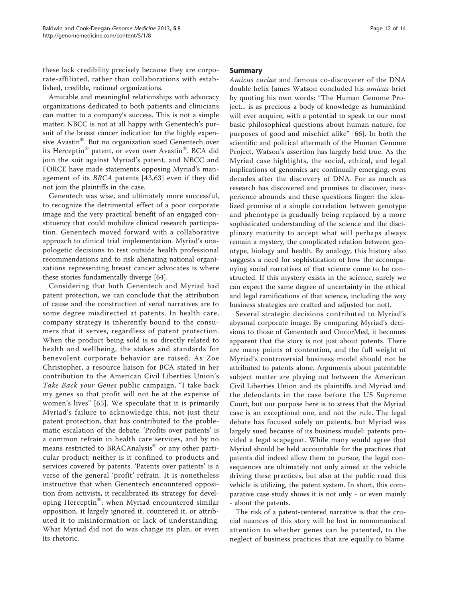these lack credibility precisely because they are corporate-affiliated, rather than collaborations with established, credible, national organizations.

Amicable and meaningful relationships with advocacy organizations dedicated to both patients and clinicians can matter to a company's success. This is not a simple matter; NBCC is not at all happy with Genentech's pursuit of the breast cancer indication for the highly expensive Avastin®. But no organization sued Genentech over its Herceptin® patent, or even over Avastin®. BCA did join the suit against Myriad's patent, and NBCC and FORCE have made statements opposing Myriad's management of its BRCA patents [\[43,63\]](#page-13-0) even if they did not join the plaintiffs in the case.

Genentech was wise, and ultimately more successful, to recognize the detrimental effect of a poor corporate image and the very practical benefit of an engaged constituency that could mobilize clinical research participation. Genentech moved forward with a collaborative approach to clinical trial implementation. Myriad's unapologetic decisions to test outside health professional recommendations and to risk alienating national organizations representing breast cancer advocates is where these stories fundamentally diverge [\[64](#page-13-0)].

Considering that both Genentech and Myriad had patent protection, we can conclude that the attribution of cause and the construction of venal narratives are to some degree misdirected at patents. In health care, company strategy is inherently bound to the consumers that it serves, regardless of patent protection. When the product being sold is so directly related to health and wellbeing, the stakes and standards for benevolent corporate behavior are raised. As Zoe Christopher, a resource liaison for BCA stated in her contribution to the American Civil Liberties Union's Take Back your Genes public campaign, "I take back my genes so that profit will not be at the expense of women's lives" [[65](#page-13-0)]. We speculate that it is primarily Myriad's failure to acknowledge this, not just their patent protection, that has contributed to the problematic escalation of the debate. 'Profits over patients' is a common refrain in health care services, and by no means restricted to BRACAnalysis® or any other particular product; neither is it confined to products and services covered by patents. 'Patents over patients' is a verse of the general 'profit' refrain. It is nonetheless instructive that when Genentech encountered opposition from activists, it recalibrated its strategy for developing Herceptin®; when Myriad encountered similar opposition, it largely ignored it, countered it, or attributed it to misinformation or lack of understanding. What Myriad did not do was change its plan, or even its rhetoric.

#### Summary

Amicus curiae and famous co-discoverer of the DNA double helix James Watson concluded his amicus brief by quoting his own words: "The Human Genome Project... is as precious a body of knowledge as humankind will ever acquire, with a potential to speak to our most basic philosophical questions about human nature, for purposes of good and mischief alike" [[66\]](#page-13-0). In both the scientific and political aftermath of the Human Genome Project, Watson's assertion has largely held true. As the Myriad case highlights, the social, ethical, and legal implications of genomics are continually emerging, even decades after the discovery of DNA. For as much as research has discovered and promises to discover, inexperience abounds and these questions linger: the idealized promise of a simple correlation between genotype and phenotype is gradually being replaced by a more sophisticated understanding of the science and the disciplinary maturity to accept what will perhaps always remain a mystery, the complicated relation between genotype, biology and health. By analogy, this history also suggests a need for sophistication of how the accompanying social narratives of that science come to be constructed. If this mystery exists in the science, surely we can expect the same degree of uncertainty in the ethical and legal ramifications of that science, including the way business strategies are crafted and adjusted (or not).

Several strategic decisions contributed to Myriad's abysmal corporate image. By comparing Myriad's decisions to those of Genentech and OncorMed, it becomes apparent that the story is not just about patents. There are many points of contention, and the full weight of Myriad's controversial business model should not be attributed to patents alone. Arguments about patentable subject matter are playing out between the American Civil Liberties Union and its plaintiffs and Myriad and the defendants in the case before the US Supreme Court, but our purpose here is to stress that the Myriad case is an exceptional one, and not the rule. The legal debate has focused solely on patents, but Myriad was largely sued because of its business model: patents provided a legal scapegoat. While many would agree that Myriad should be held accountable for the practices that patents did indeed allow them to pursue, the legal consequences are ultimately not only aimed at the vehicle driving these practices, but also at the public road this vehicle is utilizing, the patent system. In short, this comparative case study shows it is not only - or even mainly - about the patents.

The risk of a patent-centered narrative is that the crucial nuances of this story will be lost in monomaniacal attention to whether genes can be patented, to the neglect of business practices that are equally to blame.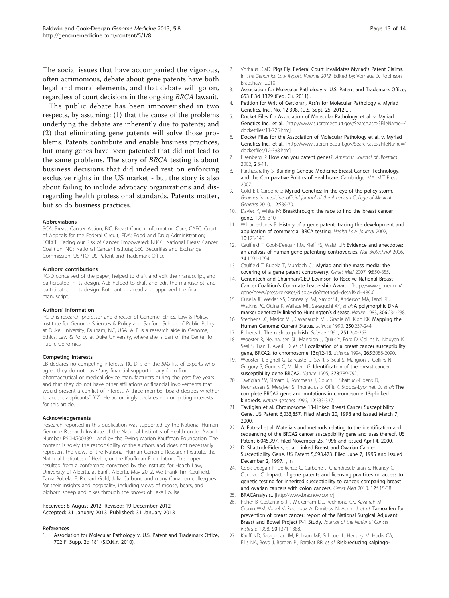<span id="page-12-0"></span>The social issues that have accompanied the vigorous, often acrimonious, debate about gene patents have both legal and moral elements, and that debate will go on, regardless of court decisions in the ongoing BRCA lawsuit.

The public debate has been impoverished in two respects, by assuming: (1) that the cause of the problems underlying the debate are inherently due to patents; and (2) that eliminating gene patents will solve those problems. Patents contribute and enable business practices, but many genes have been patented that did not lead to the same problems. The story of BRCA testing is about business decisions that did indeed rest on enforcing exclusive rights in the US market - but the story is also about failing to include advocacy organizations and disregarding health professional standards. Patents matter, but so do business practices.

#### Abbreviations

BCA: Breast Cancer Action; BIC: Breast Cancer Information Core; CAFC: Court of Appeals for the Federal Circuit; FDA: Food and Drug Administration; FORCE: Facing our Risk of Cancer Empowered; NBCC: National Breast Cancer Coalition; NCI: National Cancer Institute; SEC: Securities and Exchange Commission; USPTO: US Patent and Trademark Office.

#### Authors' contributions

RC-D conceived of the paper, helped to draft and edit the manuscript, and participated in its design. ALB helped to draft and edit the manuscript, and participated in its design. Both authors read and approved the final manuscript.

#### Authors' information

RC-D is research professor and director of Genome, Ethics, Law & Policy, Institute for Genome Sciences & Policy and Sanford School of Public Policy at Duke University, Durham, NC, USA. ALB is a research aide in Genome, Ethics, Law & Policy at Duke University, where she is part of the Center for Public Genomics.

#### Competing interests

LB declares no competing interests. RC-D is on the BMJ list of experts who agree they do not have "any financial support in any form from pharmaceutical or medical device manufacturers during the past five years and that they do not have other affiliations or financial involvements that would present a conflict of interest. A three member board decides whether to accept applicants" [\[67\]](#page-13-0). He accordingly declares no competing interests for this article.

#### Acknowledgements

Research reported in this publication was supported by the National Human Genome Research Institute of the National Institutes of Health under Award Number P50HG003391, and by the Ewing Marion Kauffman Foundation. The content is solely the responsibility of the authors and does not necessarily represent the views of the National Human Genome Research Institute, the National Institutes of Health, or the Kauffman Foundation. This paper resulted from a conference convened by the Institute for Health Law, University of Alberta, at Banff, Alberta, May 2012. We thank Tim Caulfield, Tania Bubela, E. Richard Gold, Julia Carbone and many Canadian colleagues for their insights and hospitality, including views of moose, bears, and bighorn sheep and hikes through the snows of Lake Louise.

#### Received: 8 August 2012 Revised: 19 December 2012 Accepted: 31 January 2013 Published: 31 January 2013

#### References

1. Association for Molecular Pathology v. U.S. Patent and Trademark Office, 702 F. Supp. 2d 181 (S.D.N.Y. 2010).

- 2. Vorhaus JCaD: Pigs Fly: Federal Court Invalidates Myriad's Patent Claims. In The Genomics Law Report. Volume 2012. Edited by: Vorhaus D. Robinson Bradshaw 2010.
- 3. Association for Molecular Pathology v. U.S. Patent and Trademark Office, 653 F.3d 1329 (Fed. Cir. 2011).
- Petition for Writ of Certiorari, Ass'n for Molecular Pathology v. Myriad Genetics, Inc., No. 12-398, (U.S. Sept. 25, 2012).. .
- 5. Docket Files for Association of Molecular Pathology, et al. v. Myriad Genetics Inc., et al.. [[http://www.supremecourt.gov/Search.aspx?FileName=/](http://www.supremecourt.gov/Search.aspx?FileName=/docketfiles/11-725.htm) [docketfiles/11-725.htm](http://www.supremecourt.gov/Search.aspx?FileName=/docketfiles/11-725.htm)].
- 6. Docket Files for the Association of Molecular Pathology et al. v. Myriad Genetics Inc., et al.. [[http://www.supremecourt.gov/Search.aspx?FileName=/](http://www.supremecourt.gov/Search.aspx?FileName=/docketfiles/12-398.htm) [docketfiles/12-398.htm](http://www.supremecourt.gov/Search.aspx?FileName=/docketfiles/12-398.htm)].
- 7. Eisenberg R: [How can you patent genes?.](http://www.ncbi.nlm.nih.gov/pubmed/12784804?dopt=Abstract) American Journal of Bioethics 2002, 2:3-11.
- 8. Parthasarathy S: Building Genetic Medicine: Breast Cancer, Technology, and the Comparative Politics of Healthcare. Cambridge, MA: MIT Press; 2007.
- 9. Gold ER, Carbone J: Myriad Genetics: In the eye of the policy storm. Genetics in medicine: official journal of the American College of Medical Genetics 2010, 12:S39-70.
- 10. Davies K, White M: Breakthrough: the race to find the breast cancer gene. 1996, 310.
- 11. Williams-Jones B: [History of a gene patent: tracing the development and](http://www.ncbi.nlm.nih.gov/pubmed/14748275?dopt=Abstract) [application of commercial BRCA testing.](http://www.ncbi.nlm.nih.gov/pubmed/14748275?dopt=Abstract) Health Law Journal 2002, 10:123-146.
- 12. Caulfield T, Cook-Deegan RM, Kieff FS, Walsh JP: [Evidence and anecdotes:](http://www.ncbi.nlm.nih.gov/pubmed/16964215?dopt=Abstract) [an analysis of human gene patenting controversies.](http://www.ncbi.nlm.nih.gov/pubmed/16964215?dopt=Abstract) Nat Biotechnol 2006, 24:1091-1094.
- 13. Caulfield T, Bubela T, Murdoch CJ: [Myriad and the mass media: the](http://www.ncbi.nlm.nih.gov/pubmed/18091435?dopt=Abstract) [covering of a gene patent controversy.](http://www.ncbi.nlm.nih.gov/pubmed/18091435?dopt=Abstract) Genet Med 2007, 9:850-855.
- 14. Genentech and Chairman/CEO Levinson to Receive National Breast Cancer Coalition's Corporate Leadership Award.. [\[http://www.gene.com/](http://www.gene.com/gene/news/press-releases/display.do?method=detail&id=4890) [gene/news/press-releases/display.do?method=detail&id=4890](http://www.gene.com/gene/news/press-releases/display.do?method=detail&id=4890)].
- 15. Gusella JF, Wexler NS, Conneally PM, Naylor SL, Anderson MA, Tanzi RE, Watkins PC, Ottina K, Wallace MR, Sakaguchi AY, et al: [A polymorphic DNA](http://www.ncbi.nlm.nih.gov/pubmed/6316146?dopt=Abstract) [marker genetically linked to Huntington](http://www.ncbi.nlm.nih.gov/pubmed/6316146?dopt=Abstract)'s disease. Nature 1983, 306:234-238.
- 16. Stephens JC, Mador ML, Cavanaugh ML, Gradie MI, Kidd KK: [Mapping the](http://www.ncbi.nlm.nih.gov/pubmed/2218527?dopt=Abstract) [Human Genome: Current Status.](http://www.ncbi.nlm.nih.gov/pubmed/2218527?dopt=Abstract) Science 1990, 250:237-244.
- 17. Roberts L: [The rush to publish.](http://www.ncbi.nlm.nih.gov/pubmed/1898994?dopt=Abstract) Science 1991, 251:260-263.
- 18. Wooster R, Neuhausen SL, Mangion J, Quirk Y, Ford D, Collins N, Nguyen K, Seal S, Tran T, Averill D, et al: [Localization of a breast cancer susceptibility](http://www.ncbi.nlm.nih.gov/pubmed/8091231?dopt=Abstract) [gene, BRCA2, to chromosome 13q12-13.](http://www.ncbi.nlm.nih.gov/pubmed/8091231?dopt=Abstract) Science 1994, 265:2088-2090.
- 19. Wooster R, Bignell G, Lancaster J, Swift S, Seal S, Mangion J, Collins N, Gregory S, Gumbs C, Micklem G: [Identification of the breast cancer](http://www.ncbi.nlm.nih.gov/pubmed/8524414?dopt=Abstract) [susceptibility gene BRCA2.](http://www.ncbi.nlm.nih.gov/pubmed/8524414?dopt=Abstract) Nature 1995, 378:789-792.
- 20. Tavtigian SV, Simard J, Rommens J, Couch F, Shattuck-Eidens D, Neuhausen S, Merajver S, Thorlacius S, Offit K, Stoppa-Lyonnet D, et al: [The](http://www.ncbi.nlm.nih.gov/pubmed/8589730?dopt=Abstract) [complete BRCA2 gene and mutations in chromosome 13q-linked](http://www.ncbi.nlm.nih.gov/pubmed/8589730?dopt=Abstract) [kindreds.](http://www.ncbi.nlm.nih.gov/pubmed/8589730?dopt=Abstract) Nature genetics 1996, 12:333-337.
- 21. Tavtigian et al. Chromosome 13-Linked Breast Cancer Susceptibility Gene. US Patent 6,033,857. Filed March 20, 1998 and issued March 7, 2000.
- 22. A. Futreal et al. Materials and methods relating to the identification and sequencing of the BRCA2 cancer susceptibility gene and uses thereof. US Patent 6,045,997. Filed November 25, 1996 and issued April 4, 2000.
- 23. D. Shattuck-Eidens, et al. Linked Breast and Ovarian Cancer Susceptibility Gene. US Patent 5,693,473. Filed June 7, 1995 and issued December 2, 1997.. , In.
- 24. Cook-Deegan R, DeRienzo C, Carbone J, Chandrasekharan S, Heaney C, Conover C: [Impact of gene patents and licensing practices on access to](http://www.ncbi.nlm.nih.gov/pubmed/20393305?dopt=Abstract) [genetic testing for inherited susceptibility to cancer: comparing breast](http://www.ncbi.nlm.nih.gov/pubmed/20393305?dopt=Abstract) [and ovarian cancers with colon cancers.](http://www.ncbi.nlm.nih.gov/pubmed/20393305?dopt=Abstract) Genet Med 2010, 12:S15-38.
- 25. BRACAnalysis.. [\[http://www.bracnow.com/\]](http://www.bracnow.com/).
- 26. Fisher B, Costantino JP, Wickerham DL, Redmond CK, Kavanah M, Cronin WM, Vogel V, Robidoux A, Dimitrov N, Atkins J, et al: [Tamoxifen for](http://www.ncbi.nlm.nih.gov/pubmed/9747868?dopt=Abstract) [prevention of breast cancer: report of the National Surgical Adjuvant](http://www.ncbi.nlm.nih.gov/pubmed/9747868?dopt=Abstract) [Breast and Bowel Project P-1 Study.](http://www.ncbi.nlm.nih.gov/pubmed/9747868?dopt=Abstract) Journal of the National Cancer Institute 1998, 90:1371-1388.
- 27. Kauff ND, Satagopan JM, Robson ME, Scheuer L, Hensley M, Hudis CA, Ellis NA, Boyd J, Borgen PI, Barakat RR, et al: [Risk-reducing salpingo-](http://www.ncbi.nlm.nih.gov/pubmed/12023992?dopt=Abstract)